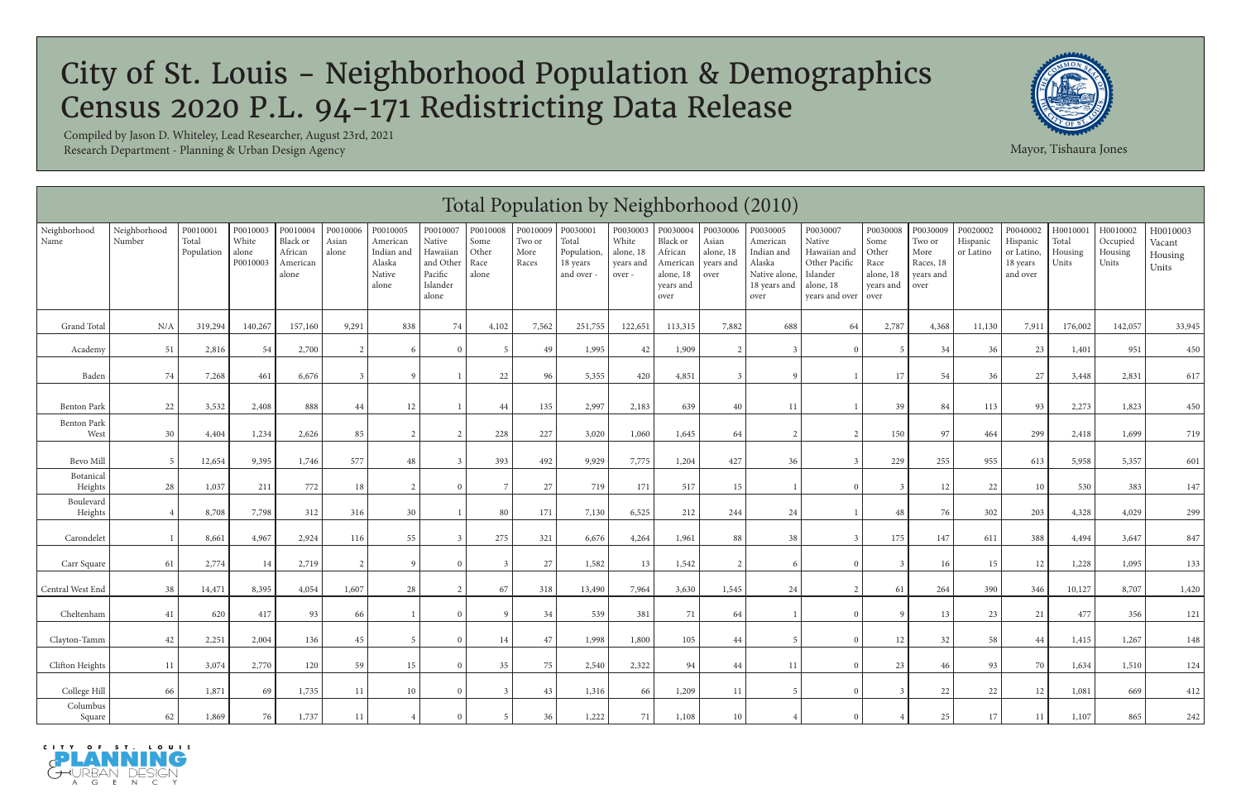|                            |                        |                                 |                                        |                                                      |                            |                                                                 |                                                                             |                                            |                                     |                                                            |                                                       |                                                                               |                                                     | Total Population by Neighborhood (2010)                                               |                                                                                                     |                                                             |                                                              |                                   |                                                            |                                       |                                          |                                        |
|----------------------------|------------------------|---------------------------------|----------------------------------------|------------------------------------------------------|----------------------------|-----------------------------------------------------------------|-----------------------------------------------------------------------------|--------------------------------------------|-------------------------------------|------------------------------------------------------------|-------------------------------------------------------|-------------------------------------------------------------------------------|-----------------------------------------------------|---------------------------------------------------------------------------------------|-----------------------------------------------------------------------------------------------------|-------------------------------------------------------------|--------------------------------------------------------------|-----------------------------------|------------------------------------------------------------|---------------------------------------|------------------------------------------|----------------------------------------|
| Neighborhood<br>Name       | Neighborhood<br>Number | P0010001<br>Total<br>Population | P0010003<br>White<br>alone<br>P0010003 | P0010004<br>Black or<br>African<br>American<br>alone | P0010006<br>Asian<br>alone | P0010005<br>American<br>Indian and<br>Alaska<br>Native<br>alone | P0010007<br>Native<br>Hawaiian<br>and Other<br>Pacific<br>Islander<br>alone | P0010008<br>Some<br>Other<br>Race<br>alone | P0010009<br>Two or<br>More<br>Races | P0030001<br>Total<br>Population,<br>18 years<br>and over - | P0030003<br>White<br>alone, 18<br>years and<br>over - | P0030004<br>Black or<br>African<br>American<br>alone, 18<br>years and<br>over | P0030006<br>Asian<br>alone, 18<br>years and<br>over | P0030005<br>American<br>Indian and<br>Alaska<br>Native alone,<br>18 years and<br>over | P0030007<br>Native<br>Hawaiian and<br>Other Pacific<br>Islander<br>alone, 18<br>years and over over | P0030008<br>Some<br>Other<br>Race<br>alone, 18<br>years and | P0030009<br>Two or<br>More<br>Races, 18<br>years and<br>over | P0020002<br>Hispanic<br>or Latino | P0040002<br>Hispanic<br>or Latino,<br>18 years<br>and over | H0010001<br>Total<br>Housing<br>Units | H0010002<br>Occupied<br>Housing<br>Units | H0010003<br>Vacant<br>Housing<br>Units |
| Grand Total                | N/A                    | 319,294                         | 140,267                                | 157,160                                              | 9,291                      | 838                                                             | 74                                                                          | 4,102                                      | 7,562                               | 251,755                                                    | 122,651                                               | 113,315                                                                       | 7,882                                               | 688                                                                                   | 64                                                                                                  | 2,787                                                       | 4,368                                                        | 11,130                            | 7,911                                                      | 176,002                               | 142,057                                  | 33,945                                 |
| Academy                    | 51                     | 2,816                           | 54                                     | 2,700                                                |                            |                                                                 | $\Omega$                                                                    |                                            | 49                                  | 1,995                                                      | 42                                                    | 1,909                                                                         |                                                     |                                                                                       | $\Omega$                                                                                            |                                                             | 34                                                           | 36                                | 23                                                         | 1,401                                 | 951                                      | 450                                    |
| Baden                      | 74                     | 7,268                           | 461                                    | 6,676                                                |                            | $\mathbf Q$                                                     |                                                                             | 22                                         | 96                                  | 5,355                                                      | 420                                                   | 4,851                                                                         |                                                     | $\mathbf{Q}$                                                                          |                                                                                                     | 17                                                          | 54                                                           | 36                                | 27                                                         | 3,448                                 | 2,831                                    | 617                                    |
| <b>Benton Park</b>         | $22\,$                 | 3,532                           | 2,408                                  | 888                                                  | 44                         | 12                                                              |                                                                             | 44                                         | 135                                 | 2,997                                                      | 2,183                                                 | 639                                                                           | 40                                                  | 11                                                                                    |                                                                                                     | 39                                                          | 84                                                           | 113                               | 93                                                         | 2,273                                 | 1,823                                    | 450                                    |
| <b>Benton Park</b><br>West | 30                     | 4,404                           | 1,234                                  | 2,626                                                | 85                         |                                                                 | $\overline{2}$                                                              | 228                                        | 227                                 | 3,020                                                      | 1,060                                                 | 1,645                                                                         | 64                                                  | 2                                                                                     |                                                                                                     | 150                                                         | 97                                                           | 464                               | 299                                                        | 2,418                                 | 1,699                                    | 719                                    |
| Bevo Mill                  | - 5                    | 12,654                          | 9,395                                  | 1,746                                                | 577                        | 48                                                              | 3                                                                           | 393                                        | 492                                 | 9,929                                                      | 7,775                                                 | 1,204                                                                         | 427                                                 | 36                                                                                    |                                                                                                     | 229                                                         | 255                                                          | 955                               | 613                                                        | 5,958                                 | 5,357                                    | 601                                    |
| Botanical<br>Heights       | 28                     | 1,037                           | 211                                    | 772                                                  | 18                         |                                                                 | $\Omega$                                                                    |                                            | 27                                  | 719                                                        | 171                                                   | 517                                                                           | 15                                                  |                                                                                       |                                                                                                     |                                                             | 12                                                           | 22                                | 10                                                         | 530                                   | 383                                      | 147                                    |
| Boulevard<br>Heights       |                        | 8,708                           | 7,798                                  | 312                                                  | 316                        | 30                                                              |                                                                             | 80                                         | 171                                 | 7,130                                                      | 6,525                                                 | 212                                                                           | 244                                                 | 24                                                                                    |                                                                                                     | 48                                                          | 76                                                           | 302                               | 203                                                        | 4,328                                 | 4,029                                    | 299                                    |
| Carondelet                 |                        | 8,661                           | 4,967                                  | 2,924                                                | 116                        | 55                                                              | 3                                                                           | 275                                        | 321                                 | 6,676                                                      | 4,264                                                 | 1,961                                                                         | 88                                                  | 38                                                                                    | 3                                                                                                   | 175                                                         | 147                                                          | 611                               | 388                                                        | 4,494                                 | 3,647                                    | 847                                    |
| Carr Square                | 61                     | 2,774                           | 14                                     | 2,719                                                |                            |                                                                 |                                                                             |                                            | 27                                  | 1,582                                                      | 13                                                    | 1,542                                                                         |                                                     |                                                                                       | $\Omega$                                                                                            |                                                             | 16                                                           | 15                                | 12                                                         | 1,228                                 | 1,095                                    | 133                                    |
| Central West End           | 38                     | 14,471                          | 8,395                                  | 4,054                                                | 1,607                      | 28                                                              | 2                                                                           | 67                                         | 318                                 | 13,490                                                     | 7,964                                                 | 3,630                                                                         | 1,545                                               | 24                                                                                    | 2                                                                                                   | 61                                                          | 264                                                          | 390                               | 346                                                        | 10,127                                | 8,707                                    | 1,420                                  |
| Cheltenham                 | 41                     | 620                             | 417                                    | 93                                                   | 66                         |                                                                 | $\Omega$                                                                    |                                            | 34                                  | 539                                                        | 381                                                   | 71                                                                            | 64                                                  |                                                                                       |                                                                                                     |                                                             | 13                                                           | 23                                | 21                                                         | 477                                   | 356                                      | 121                                    |
| Clayton-Tamm               | 42                     | 2,251                           | 2,004                                  | 136                                                  | 45                         |                                                                 | $\Omega$                                                                    | 14                                         | 47                                  | 1,998                                                      | 1,800                                                 | 105                                                                           | 44                                                  |                                                                                       |                                                                                                     | 12                                                          | 32                                                           | 58                                | 44                                                         | 1,415                                 | 1,267                                    | 148                                    |
| Clifton Heights            | 11                     | 3,074                           | 2,770                                  | 120                                                  | 59                         | 15                                                              | $\overline{0}$                                                              | 35                                         | 75                                  | 2,540                                                      | 2,322                                                 | 94                                                                            | 44                                                  | 11                                                                                    | $\overline{0}$                                                                                      | 23                                                          | 46                                                           | 93                                | 70                                                         | 1,634                                 | 1,510                                    | 124                                    |
| College Hill               | 66                     | 1,871                           | 69                                     | 1,735                                                | 11                         | 10                                                              | $\Omega$                                                                    |                                            | 43                                  | 1,316                                                      | 66                                                    | 1,209                                                                         | 11                                                  |                                                                                       | $\Omega$                                                                                            |                                                             | 22                                                           | 22                                | 12                                                         | 1,081                                 | 669                                      | 412                                    |
| Columbus<br>Square         | 62                     | 1,869                           | 76                                     | 1,737                                                | 11                         |                                                                 | $\Omega$                                                                    |                                            | 36                                  | 1,222                                                      | 71                                                    | 1,108                                                                         | 10                                                  |                                                                                       | $\Omega$                                                                                            |                                                             | 25                                                           | 17                                | -11                                                        | 1,107                                 | 865                                      | 242                                    |





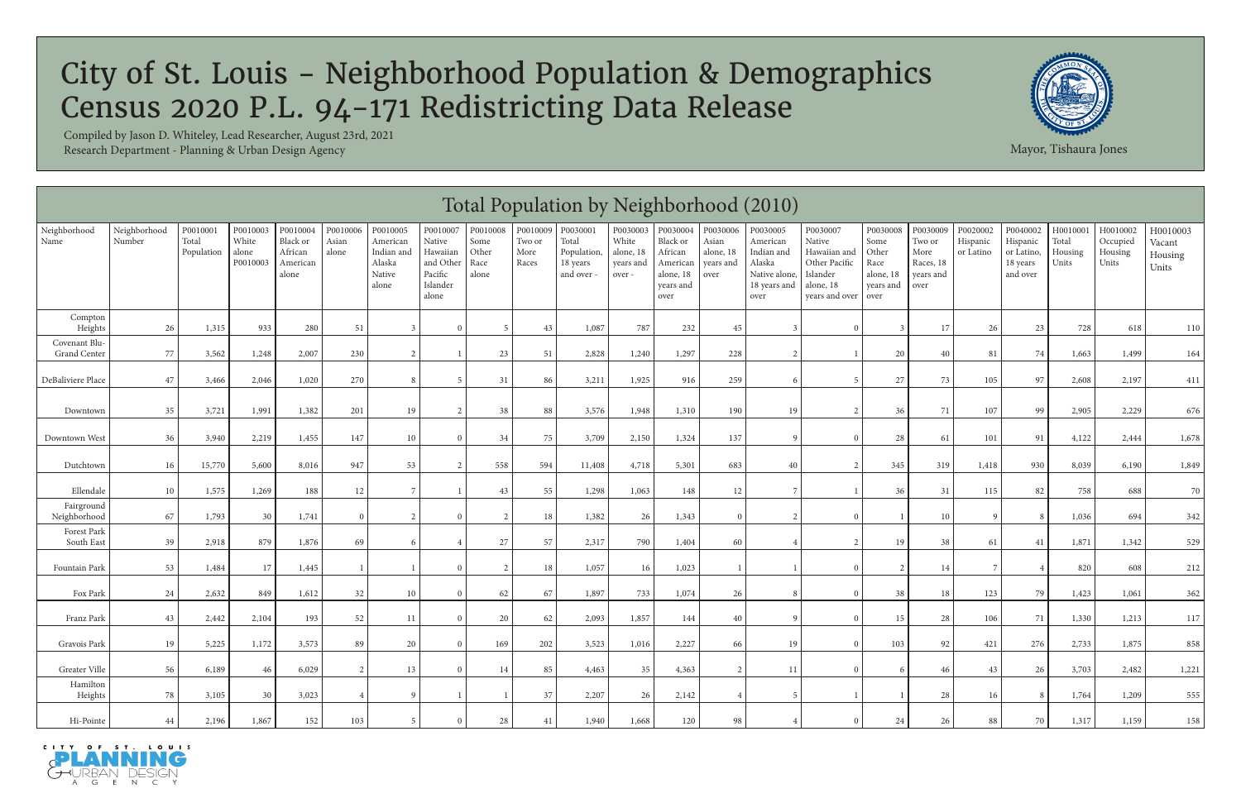|                               |                        |                                 |                                        |                                                      |                            |                                                                 |                                                                             |                                            |                                     |                                                            |                                                       |                                                                               |                                                     | Total Population by Neighborhood (2010)                                               |                                                                                                    |                                                             |                                                              |                                   |                                                            |                                      |                                          |                                        |
|-------------------------------|------------------------|---------------------------------|----------------------------------------|------------------------------------------------------|----------------------------|-----------------------------------------------------------------|-----------------------------------------------------------------------------|--------------------------------------------|-------------------------------------|------------------------------------------------------------|-------------------------------------------------------|-------------------------------------------------------------------------------|-----------------------------------------------------|---------------------------------------------------------------------------------------|----------------------------------------------------------------------------------------------------|-------------------------------------------------------------|--------------------------------------------------------------|-----------------------------------|------------------------------------------------------------|--------------------------------------|------------------------------------------|----------------------------------------|
| Neighborhood<br>Name          | Neighborhood<br>Number | P0010001<br>Total<br>Population | P0010003<br>White<br>alone<br>P0010003 | P0010004<br>Black or<br>African<br>American<br>alone | P0010006<br>Asian<br>alone | P0010005<br>American<br>Indian and<br>Alaska<br>Native<br>alone | P0010007<br>Native<br>Hawaiian<br>and Other<br>Pacific<br>Islander<br>alone | P0010008<br>Some<br>Other<br>Race<br>alone | P0010009<br>Two or<br>More<br>Races | P0030001<br>Total<br>Population,<br>18 years<br>and over - | P0030003<br>White<br>alone, 18<br>vears and<br>over - | P0030004<br>Black or<br>African<br>American<br>alone, 18<br>years and<br>over | P0030006<br>Asian<br>alone, 18<br>years and<br>over | P0030005<br>American<br>Indian and<br>Alaska<br>Native alone,<br>18 years and<br>over | P0030007<br>Native<br>Hawaiian an<br>Other Pacific<br>Islander<br>alone, 18<br>years and over over | P0030008<br>Some<br>Other<br>Race<br>alone, 18<br>years and | P0030009<br>Two or<br>More<br>Races, 18<br>years and<br>over | P0020002<br>Hispanic<br>or Latino | P0040002<br>Hispanic<br>or Latino,<br>18 years<br>and over | H001000<br>Total<br>Housing<br>Units | H0010002<br>Occupied<br>Housing<br>Units | H0010003<br>Vacant<br>Housing<br>Units |
| Compton<br>Heights            | 26                     | 1,315                           | 933                                    | 280                                                  | 51                         |                                                                 | $\Omega$                                                                    | -5                                         | 43                                  | 1,087                                                      | 787                                                   | 232                                                                           | 45                                                  |                                                                                       | $\Omega$                                                                                           |                                                             | 17                                                           | 26                                | 23                                                         | 728                                  | 618                                      | 110                                    |
| Covenant Blu-<br>Grand Center | $77\,$                 | 3,562                           | 1,248                                  | 2,007                                                | 230                        |                                                                 |                                                                             | 23                                         | 51                                  | 2,828                                                      | 1,240                                                 | 1,297                                                                         | 228                                                 |                                                                                       |                                                                                                    | 20                                                          | 40                                                           | 81                                | 74                                                         | 1,663                                | 1,499                                    | 164                                    |
| DeBaliviere Place             | 47                     | 3,466                           | 2,046                                  | 1,020                                                | 270                        |                                                                 |                                                                             | 31                                         | 86                                  | 3,211                                                      | 1,925                                                 | 916                                                                           | 259                                                 |                                                                                       |                                                                                                    | $27\,$                                                      | 73                                                           | 105                               | 97                                                         | 2,608                                | 2,197                                    | $411\,$                                |
| Downtown                      | 35                     | 3,721                           | 1,991                                  | 1,382                                                | 201                        | 19                                                              | 2                                                                           | 38                                         | 88                                  | 3,576                                                      | 1,948                                                 | 1,310                                                                         | 190                                                 | 19                                                                                    |                                                                                                    | 36                                                          | 71                                                           | 107                               | 99                                                         | 2,905                                | 2,229                                    | 676                                    |
| Downtown West                 | 36                     | 3,940                           | 2,219                                  | 1,455                                                | 147                        | 10                                                              | $\Omega$                                                                    | 34                                         | 75                                  | 3,709                                                      | 2,150                                                 | 1,324                                                                         | 137                                                 | $\mathbf{Q}$                                                                          | $\Omega$                                                                                           | 28                                                          | 61                                                           | 101                               | 91                                                         | 4,122                                | 2,444                                    | 1,678                                  |
| Dutchtown                     | 16                     | 15,770                          | 5,600                                  | 8,016                                                | 947                        | 53                                                              | 2                                                                           | 558                                        | 594                                 | 11,408                                                     | 4,718                                                 | 5,301                                                                         | 683                                                 | 40                                                                                    |                                                                                                    | 345                                                         | 319                                                          | 1,418                             | 930                                                        | 8,039                                | 6,190                                    | 1,849                                  |
| Ellendale                     | 10                     | 1,575                           | 1,269                                  | 188                                                  | 12                         |                                                                 |                                                                             | 43                                         | 55                                  | 1,298                                                      | 1,063                                                 | 148                                                                           | 12                                                  |                                                                                       |                                                                                                    | 36                                                          | 31                                                           | 115                               | 82                                                         | 758                                  | 688                                      | 70                                     |
| Fairground<br>Neighborhood    | 67                     | 1,793                           | 30                                     | 1,741                                                |                            |                                                                 | $\Omega$                                                                    | 2                                          | 18                                  | 1,382                                                      | 26                                                    | 1,343                                                                         | $\Omega$                                            | $\mathcal{L}$                                                                         | $\Omega$                                                                                           |                                                             | 10                                                           | $\mathbf{Q}$                      |                                                            | 1,036                                | 694                                      | 342                                    |
| Forest Park<br>South East     | 39                     | 2,918                           | 879                                    | 1,876                                                | 69                         |                                                                 |                                                                             | 27                                         | 57                                  | 2,317                                                      | 790                                                   | 1,404                                                                         | 60                                                  |                                                                                       |                                                                                                    | 19                                                          | 38                                                           | 61                                | 41                                                         | 1,871                                | 1,342                                    | 529                                    |
| Fountain Park                 | 53                     | 1,484                           | 17                                     | 1,445                                                |                            |                                                                 | $\Omega$                                                                    | 2                                          | 18                                  | 1,057                                                      | 16                                                    | 1,023                                                                         |                                                     |                                                                                       | $\Omega$                                                                                           |                                                             | 14                                                           |                                   |                                                            | 820                                  | 608                                      | 212                                    |
| Fox Park                      | 24                     | 2,632                           | 849                                    | 1,612                                                | 32                         | 10                                                              | $\Omega$                                                                    | 62                                         | 67                                  | 1,897                                                      | 733                                                   | 1,074                                                                         | 26                                                  |                                                                                       | $\Omega$                                                                                           | 38                                                          | 18                                                           | 123                               | 79                                                         | 1,423                                | 1,061                                    | 362                                    |
| Franz Park                    | 43                     | 2,442                           | 2,104                                  | 193                                                  | 52                         | 11                                                              | $\Omega$                                                                    | 20                                         | 62                                  | 2,093                                                      | 1,857                                                 | 144                                                                           | 40                                                  | $\mathbf{Q}$                                                                          | $\Omega$                                                                                           | 15                                                          | 28                                                           | 106                               | 71                                                         | 1,330                                | 1,213                                    | 117                                    |
| Gravois Park                  | 19                     | 5,225                           | 1,172                                  | 3,573                                                | 89                         | 20                                                              | $\Omega$                                                                    | 169                                        | 202                                 | 3,523                                                      | 1,016                                                 | 2,227                                                                         | 66                                                  | 19                                                                                    | $\Omega$                                                                                           | 103                                                         | 92                                                           | 421                               | 276                                                        | 2,733                                | 1,875                                    | 858                                    |
| Greater Ville                 | 56                     | 6,189                           | 46                                     | 6,029                                                |                            | 13                                                              | $\overline{0}$                                                              | 14                                         | 85                                  | 4,463                                                      | 35                                                    | 4,363                                                                         |                                                     | 11                                                                                    | $\Omega$                                                                                           | 6                                                           | 46                                                           | 43                                | 26                                                         | 3,703                                | 2,482                                    | 1,221                                  |
| Hamilton<br>Heights           | 78                     | 3,105                           | 30                                     | 3,023                                                |                            | q                                                               |                                                                             |                                            | 37                                  | 2,207                                                      | 26                                                    | 2,142                                                                         |                                                     | -5                                                                                    |                                                                                                    |                                                             | 28                                                           | 16                                |                                                            | 1,764                                | 1,209                                    | 555                                    |
| Hi-Pointe                     | 44                     | 2,196                           | 1,867                                  | 152                                                  | 103                        | 5                                                               | $\Omega$                                                                    | 28                                         | 41                                  | 1,940                                                      | 1,668                                                 | 120                                                                           | 98                                                  |                                                                                       | $\Omega$                                                                                           | 24                                                          | 26                                                           | 88                                | 70                                                         | 1,317                                | 1,159                                    | 158                                    |





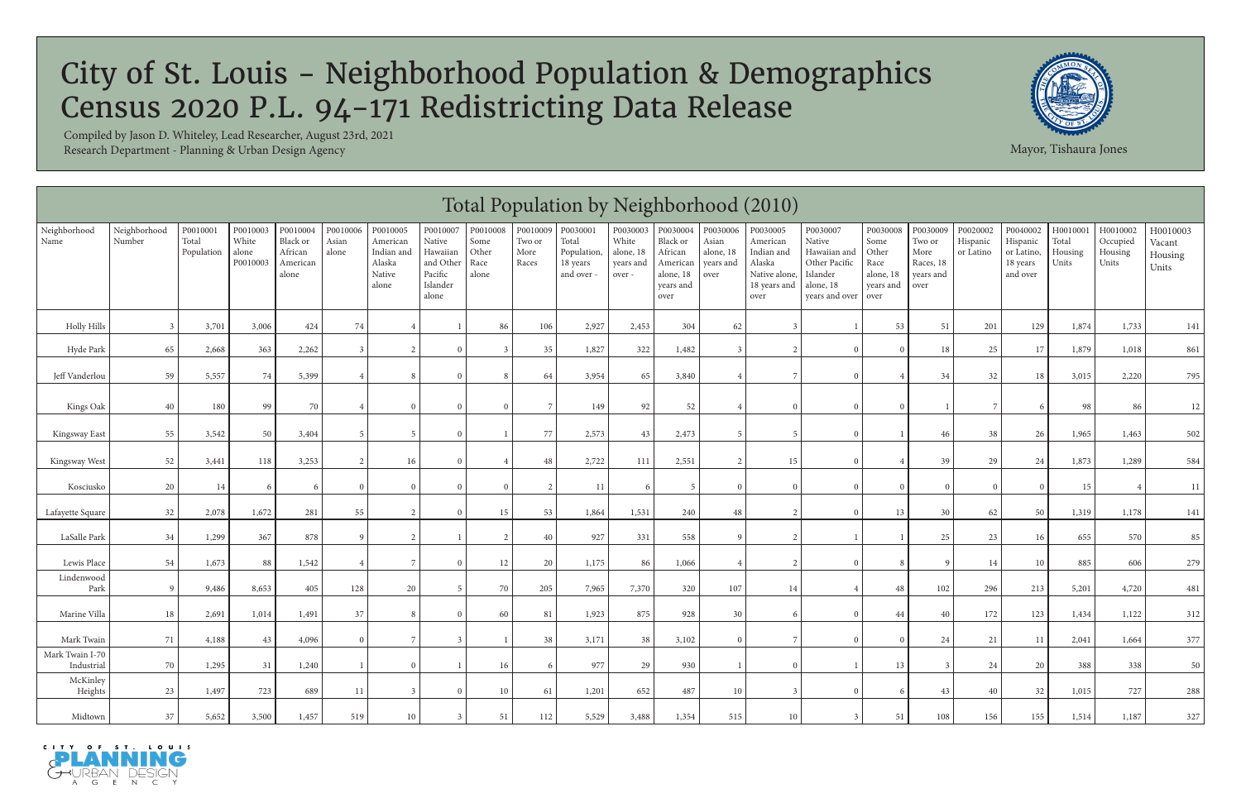|                               |                        |                                 |                                        |                                                      |                            |                                                                 |                                                                             |                                            |                                     |                                                            |                                                      |                                                                               |                                                     | Total Population by Neighborhood (2010)                                               |                                                                                                |                                                                    |                                                              |                                   |                                                            |                                       |                                          |                                        |
|-------------------------------|------------------------|---------------------------------|----------------------------------------|------------------------------------------------------|----------------------------|-----------------------------------------------------------------|-----------------------------------------------------------------------------|--------------------------------------------|-------------------------------------|------------------------------------------------------------|------------------------------------------------------|-------------------------------------------------------------------------------|-----------------------------------------------------|---------------------------------------------------------------------------------------|------------------------------------------------------------------------------------------------|--------------------------------------------------------------------|--------------------------------------------------------------|-----------------------------------|------------------------------------------------------------|---------------------------------------|------------------------------------------|----------------------------------------|
| Neighborhood<br>Name          | Neighborhood<br>Number | P0010001<br>Total<br>Population | P0010003<br>White<br>alone<br>P0010003 | P0010004<br>Black or<br>African<br>American<br>alone | P0010006<br>Asian<br>alone | P0010005<br>American<br>Indian and<br>Alaska<br>Native<br>alone | P0010007<br>Native<br>Hawaiian<br>and Other<br>Pacific<br>Islander<br>alone | P0010008<br>Some<br>Other<br>Race<br>alone | P0010009<br>Two or<br>More<br>Races | P0030001<br>Total<br>Population,<br>18 years<br>and over - | P0030003<br>White<br>alone, 18<br>years and<br>over- | P0030004<br>Black or<br>African<br>American<br>alone, 18<br>years and<br>over | P0030006<br>Asian<br>alone, 18<br>years and<br>over | P0030005<br>American<br>Indian and<br>Alaska<br>Native alone,<br>18 years and<br>over | P0030007<br>Native<br>Hawaiian and<br>Other Pacific<br>Islander<br>alone, 18<br>years and over | P003000<br>Some<br>Other<br>Race<br>alone, 18<br>years and<br>over | P0030009<br>Two or<br>More<br>Races, 18<br>years and<br>over | P0020002<br>Hispanic<br>or Latino | P0040002<br>Hispanic<br>or Latino,<br>18 years<br>and over | H0010001<br>Total<br>Housing<br>Units | H0010002<br>Occupied<br>Housing<br>Units | H0010003<br>Vacant<br>Housing<br>Units |
| <b>Holly Hills</b>            |                        | 3,701                           | 3,006                                  | 424                                                  | 74                         |                                                                 |                                                                             | 86                                         | 106                                 | 2,927                                                      | 2,453                                                | 304                                                                           | 62                                                  |                                                                                       |                                                                                                | 53                                                                 | 51                                                           | 201                               | 129                                                        | 1,874                                 | 1,733                                    | 141                                    |
| Hyde Park                     | 65                     | 2,668                           | 363                                    | 2,262                                                |                            |                                                                 | $\Omega$                                                                    |                                            | 35                                  | 1,827                                                      | 322                                                  | 1,482                                                                         |                                                     | 2                                                                                     | $\Omega$                                                                                       |                                                                    | 18                                                           | 25                                | 17                                                         | 1,879                                 | 1,018                                    | 861                                    |
| Jeff Vanderlou                | 59                     | 5,557                           | 74                                     | 5,399                                                |                            |                                                                 | $\Omega$                                                                    |                                            | 64                                  | 3,954                                                      | 65                                                   | 3,840                                                                         |                                                     | 7                                                                                     | $\theta$                                                                                       |                                                                    | 34                                                           | 32                                | 18                                                         | 3,015                                 | 2,220                                    | 795                                    |
| Kings Oak                     | $40\,$                 | 180                             | 99                                     | 70                                                   |                            |                                                                 | $\Omega$                                                                    | $\Omega$                                   |                                     | 149                                                        | 92                                                   | 52                                                                            |                                                     | $\Omega$                                                                              | $\Omega$                                                                                       |                                                                    |                                                              |                                   |                                                            | -98                                   | 86                                       | 12                                     |
| Kingsway East                 | 55                     | 3,542                           | 50                                     | 3,404                                                |                            |                                                                 | $\Omega$                                                                    |                                            | 77                                  | 2,573                                                      | 43                                                   | 2,473                                                                         |                                                     |                                                                                       | $\Omega$                                                                                       |                                                                    | 46                                                           | 38                                | 26                                                         | 1,965                                 | 1,463                                    | 502                                    |
| Kingsway West                 | 52                     | 3,441                           | 118                                    | 3,253                                                |                            | 16                                                              | $\Omega$                                                                    |                                            | 48                                  | 2,722                                                      | 111                                                  | 2,551                                                                         |                                                     | 15                                                                                    | $\Omega$                                                                                       |                                                                    | 39                                                           | 29                                | 24                                                         | 1,873                                 | 1,289                                    | 584                                    |
| Kosciusko                     | 20                     | 14                              |                                        |                                                      |                            |                                                                 | $\Omega$                                                                    | $\Omega$                                   |                                     | 11                                                         | 6                                                    | -5                                                                            | $\Omega$                                            | $\Omega$                                                                              | $\Omega$                                                                                       |                                                                    | $\Omega$                                                     | $\Omega$                          |                                                            | 15                                    | $\overline{4}$                           | 11                                     |
| Lafayette Square              | 32                     | 2,078                           | 1,672                                  | 281                                                  | 55                         |                                                                 | $\Omega$                                                                    | 15                                         | 53                                  | 1,864                                                      | 1,531                                                | 240                                                                           | 48                                                  | $\gamma$                                                                              | $\Omega$                                                                                       | 13                                                                 | 30                                                           | 62                                | 50                                                         | 1,319                                 | 1,178                                    | 141                                    |
| LaSalle Park                  | 34                     | 1,299                           | 367                                    | 878                                                  |                            |                                                                 |                                                                             | 2                                          | 40                                  | 927                                                        | 331                                                  | 558                                                                           |                                                     | 2                                                                                     |                                                                                                |                                                                    | 25                                                           | 23                                | 16                                                         | 655                                   | 570                                      | 85                                     |
| Lewis Place                   | 54                     | 1,673                           | 88                                     | 1,542                                                |                            |                                                                 | $\Omega$                                                                    | 12                                         | 20                                  | 1,175                                                      | 86                                                   | 1,066                                                                         |                                                     | 2                                                                                     | $\Omega$                                                                                       |                                                                    |                                                              | 14                                | 10                                                         | 885                                   | 606                                      | 279                                    |
| Lindenwood<br>Park            | $\overline{Q}$         | 9,486                           | 8,653                                  | 405                                                  | 128                        | 20                                                              | $\overline{5}$                                                              | 70                                         | 205                                 | 7,965                                                      | 7,370                                                | 320                                                                           | 107                                                 | 14                                                                                    |                                                                                                | 48                                                                 | 102                                                          | 296                               | 213                                                        | 5,201                                 | 4,720                                    | $481\,$                                |
| Marine Villa                  | 18                     | 2,691                           | 1,014                                  | 1,491                                                | 37                         |                                                                 | $\Omega$                                                                    | 60                                         | 81                                  | 1,923                                                      | 875                                                  | 928                                                                           | 30                                                  | -6                                                                                    | $\Omega$                                                                                       | 44                                                                 | 40                                                           | 172                               | 123                                                        | 1,434                                 | 1,122                                    | 312                                    |
| Mark Twain                    | 71                     | 4,188                           | 43                                     | 4,096                                                |                            |                                                                 |                                                                             |                                            | 38                                  | 3,171                                                      | 38                                                   | 3,102                                                                         | $\Omega$                                            | $7\phantom{.0}$                                                                       | $\Omega$                                                                                       |                                                                    | 24                                                           | 21                                | 11                                                         | 2,041                                 | 1,664                                    | 377                                    |
| Mark Twain I-70<br>Industrial | 70                     | 1,295                           | 31                                     | 1,240                                                |                            | $\Omega$                                                        |                                                                             | 16                                         |                                     | 977                                                        | 29                                                   | 930                                                                           |                                                     | $\Omega$                                                                              |                                                                                                | 13                                                                 |                                                              | 24                                | 20                                                         | 388                                   | 338                                      | 50                                     |
| McKinley<br>Heights           | 23                     | 1,497                           | 723                                    | 689                                                  | 11                         |                                                                 | $\Omega$                                                                    | 10                                         | 61                                  | 1,201                                                      | 652                                                  | $\rm 487$                                                                     | 10                                                  | -3                                                                                    | $\Omega$                                                                                       |                                                                    | 43                                                           | 40                                | 32                                                         | 1,015                                 | 727                                      | 288                                    |
| Midtown                       | 37                     | 5,652                           | 3,500                                  | 1,457                                                | 519                        | 10                                                              | $\overline{3}$                                                              | 51                                         | 112                                 | 5,529                                                      | 3,488                                                | 1,354                                                                         | 515                                                 | 10                                                                                    | 3                                                                                              | 51                                                                 | 108                                                          | 156                               | 155                                                        | 1,514                                 | 1,187                                    | 327                                    |





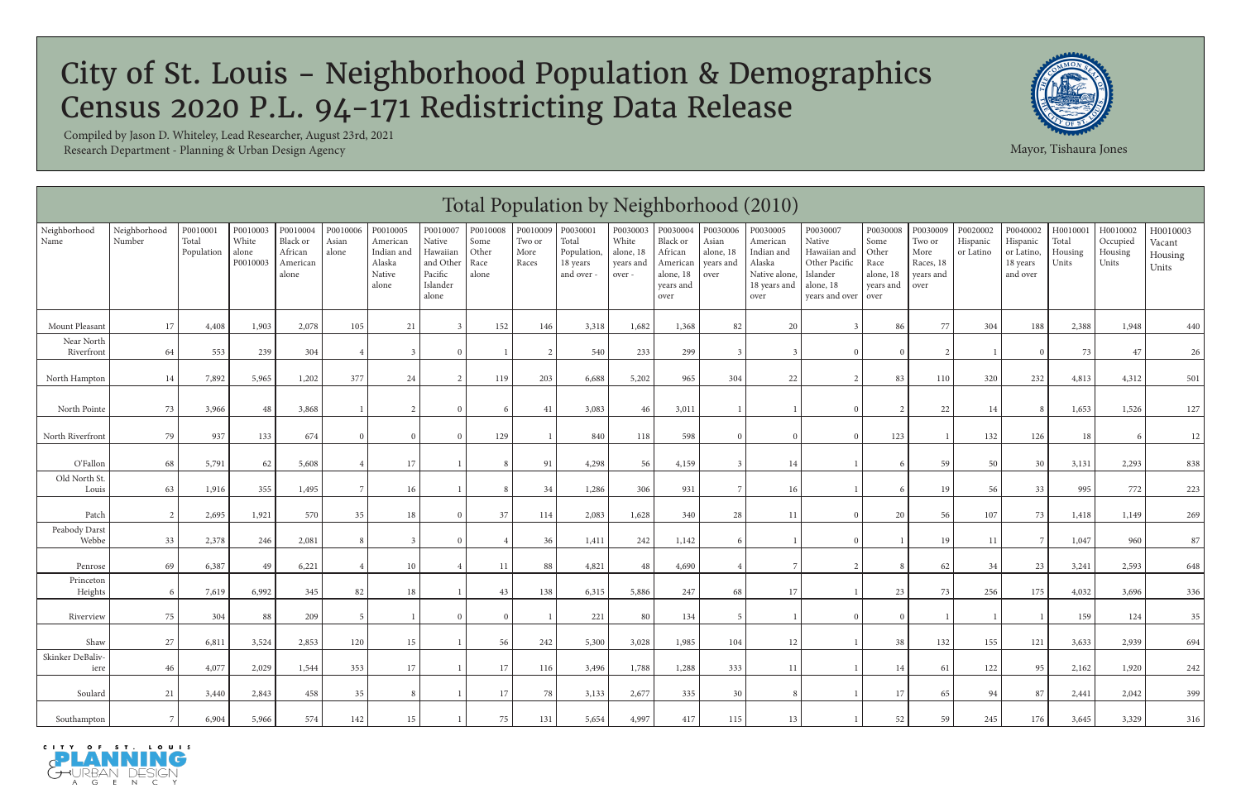|                          |                          |                                 |                                        |                                                      |                            |                                                                 |                                                                             |                                            |                                     |                                                            |                                                      |                                                                               |                                                     | Total Population by Neighborhood (2010)                                               |                                                                                                     |                                                             |                                                              |                                   |                                                            |                                      |                                          |                                        |
|--------------------------|--------------------------|---------------------------------|----------------------------------------|------------------------------------------------------|----------------------------|-----------------------------------------------------------------|-----------------------------------------------------------------------------|--------------------------------------------|-------------------------------------|------------------------------------------------------------|------------------------------------------------------|-------------------------------------------------------------------------------|-----------------------------------------------------|---------------------------------------------------------------------------------------|-----------------------------------------------------------------------------------------------------|-------------------------------------------------------------|--------------------------------------------------------------|-----------------------------------|------------------------------------------------------------|--------------------------------------|------------------------------------------|----------------------------------------|
| Neighborhood<br>Name     | Neighborhood<br>Number   | P0010001<br>Total<br>Population | P0010003<br>White<br>alone<br>P0010003 | P0010004<br>Black or<br>African<br>American<br>alone | P0010006<br>Asian<br>alone | P0010005<br>American<br>Indian and<br>Alaska<br>Native<br>alone | P0010007<br>Native<br>Hawaiian<br>and Other<br>Pacific<br>Islander<br>alone | P0010008<br>Some<br>Other<br>Race<br>alone | P0010009<br>Two or<br>More<br>Races | P0030001<br>Total<br>Population,<br>18 years<br>and over - | P0030003<br>White<br>alone, 18<br>years and<br>over- | P0030004<br>Black or<br>African<br>American<br>alone, 18<br>years and<br>over | P0030006<br>Asian<br>alone, 18<br>years and<br>over | P0030005<br>American<br>Indian and<br>Alaska<br>Native alone,<br>18 years and<br>over | P0030007<br>Native<br>Hawaiian and<br>Other Pacific<br>Islander<br>alone, 18<br>years and over over | P0030008<br>Some<br>Other<br>Race<br>alone, 18<br>years and | P0030009<br>Two or<br>More<br>Races, 18<br>years and<br>over | P0020002<br>Hispanic<br>or Latino | P0040002<br>Hispanic<br>or Latino,<br>18 years<br>and over | H001000<br>Total<br>Housing<br>Units | H0010002<br>Occupied<br>Housing<br>Units | H0010003<br>Vacant<br>Housing<br>Units |
| Mount Pleasant           | 17                       | 4,408                           | 1,903                                  | 2,078                                                | 105                        | 21                                                              | 3                                                                           | 152                                        | 146                                 | 3,318                                                      | 1,682                                                | 1,368                                                                         | 82                                                  | 20                                                                                    |                                                                                                     | 86                                                          | 77                                                           | 304                               | 188                                                        | 2,388                                | 1,948                                    | 440                                    |
| Near North<br>Riverfront | 64                       | 553                             | 239                                    | 304                                                  |                            |                                                                 |                                                                             |                                            |                                     | 540                                                        | 233                                                  | 299                                                                           |                                                     |                                                                                       | $\Omega$                                                                                            |                                                             |                                                              |                                   |                                                            | 73                                   | 47                                       | 26                                     |
| North Hampton            | 14                       | 7,892                           | 5,965                                  | 1,202                                                | 377                        | 24                                                              | 2                                                                           | 119                                        | 203                                 | 6,688                                                      | 5,202                                                | 965                                                                           | 304                                                 | 22                                                                                    |                                                                                                     | 83                                                          | 110                                                          | 320                               | 232                                                        | 4,813                                | 4,312                                    | 501                                    |
| North Pointe             | 73                       | 3,966                           | 48                                     | 3,868                                                |                            |                                                                 |                                                                             |                                            | 41                                  | 3,083                                                      | 46                                                   | 3,011                                                                         |                                                     |                                                                                       |                                                                                                     |                                                             | 22                                                           | 14                                |                                                            | 1,653                                | 1,526                                    | 127                                    |
| North Riverfront         | 79                       | 937                             | 133                                    | 674                                                  |                            |                                                                 | $\Omega$                                                                    | 129                                        |                                     | 840                                                        | 118                                                  | 598                                                                           |                                                     |                                                                                       | $\Omega$                                                                                            | 123                                                         |                                                              | 132                               | 126                                                        |                                      |                                          | 12                                     |
| O'Fallon                 | 68                       | 5,791                           | 62                                     | 5,608                                                |                            | 17                                                              |                                                                             |                                            | 91                                  | 4,298                                                      | 56                                                   | 4,159                                                                         |                                                     | 14                                                                                    |                                                                                                     |                                                             | 59                                                           | 50                                | 30                                                         | 3,131                                | 2,293                                    | 838                                    |
| Old North St<br>Louis    | 63                       | 1,916                           | 355                                    | 1,495                                                |                            | 16                                                              |                                                                             |                                            | 34                                  | 1,286                                                      | 306                                                  | 931                                                                           |                                                     | 16                                                                                    |                                                                                                     |                                                             | 19                                                           | 56                                | 33                                                         | 995                                  | 772                                      | 223                                    |
| Patch                    | $\overline{\phantom{a}}$ | 2,695                           | 1,921                                  | 570                                                  | 35                         | 18                                                              | $\Omega$                                                                    | 37                                         | 114                                 | 2,083                                                      | 1,628                                                | 340                                                                           | 28                                                  | 11                                                                                    | $\Omega$                                                                                            | 20                                                          | 56                                                           | 107                               | 73                                                         | 1,418                                | 1,149                                    | 269                                    |
| Peabody Darst<br>Webbe   | 33                       | 2,378                           | 246                                    | 2,081                                                |                            |                                                                 |                                                                             |                                            | 36                                  | 1,411                                                      | 242                                                  | 1,142                                                                         |                                                     |                                                                                       | $\Omega$                                                                                            |                                                             | 19                                                           | 11                                |                                                            | 1,047                                | 960                                      | 87                                     |
| Penrose                  | 69                       | 6,387                           | 49                                     | 6,221                                                |                            | 10                                                              |                                                                             | 11                                         | 88                                  | 4,821                                                      | 48                                                   | 4,690                                                                         |                                                     | 7                                                                                     | $\mathfrak{D}$                                                                                      |                                                             | 62                                                           | 34                                | 23                                                         | 3,241                                | 2,593                                    | 648                                    |
| Princeton<br>Heights     |                          | 7,619                           | 6,992                                  | 345                                                  | 82                         | 18                                                              |                                                                             | 43                                         | 138                                 | 6,315                                                      | 5,886                                                | 247                                                                           | 68                                                  | 17                                                                                    |                                                                                                     | 23                                                          | 73                                                           | 256                               | 175                                                        | 4,032                                | 3,696                                    | 336                                    |
| Riverview                | 75                       | 304                             | 88                                     | 209                                                  |                            |                                                                 |                                                                             |                                            |                                     | 221                                                        | 80                                                   | 134                                                                           |                                                     |                                                                                       |                                                                                                     |                                                             |                                                              |                                   |                                                            | 159                                  | 124                                      | 35                                     |
| Shaw                     | 27                       | 6,811                           | 3,524                                  | 2,853                                                | 120                        | 15                                                              |                                                                             | 56                                         | 242                                 | 5,300                                                      | 3,028                                                | 1,985                                                                         | 104                                                 | 12                                                                                    |                                                                                                     | 38                                                          | 132                                                          | 155                               | 121                                                        | 3,633                                | 2,939                                    | 694                                    |
| Skinker DeBaliv-<br>iere | 46                       | 4,077                           | 2,029                                  | 1,544                                                | 353                        | 17                                                              |                                                                             | 17                                         | 116                                 | 3,496                                                      | 1,788                                                | 1,288                                                                         | 333                                                 | 11                                                                                    |                                                                                                     | 14                                                          | 61                                                           | 122                               | 95                                                         | 2,162                                | 1,920                                    | 242                                    |
| Soulard                  | 21                       | 3,440                           | 2,843                                  | 458                                                  | 35                         |                                                                 |                                                                             | 17                                         | 78                                  | 3,133                                                      | 2,677                                                | 335                                                                           | 30 <sup>1</sup>                                     |                                                                                       |                                                                                                     | 17                                                          | 65                                                           | 94                                | 87                                                         | 2,441                                | 2,042                                    | 399                                    |
| Southampton              |                          | 6,904                           | 5,966                                  | 574                                                  | 142                        | 15                                                              |                                                                             | 75                                         | 131                                 | 5,654                                                      | 4,997                                                | 417                                                                           | 115                                                 | 13                                                                                    |                                                                                                     | 52                                                          | 59                                                           | 245                               | 176                                                        | 3,645                                | 3,329                                    | 316                                    |





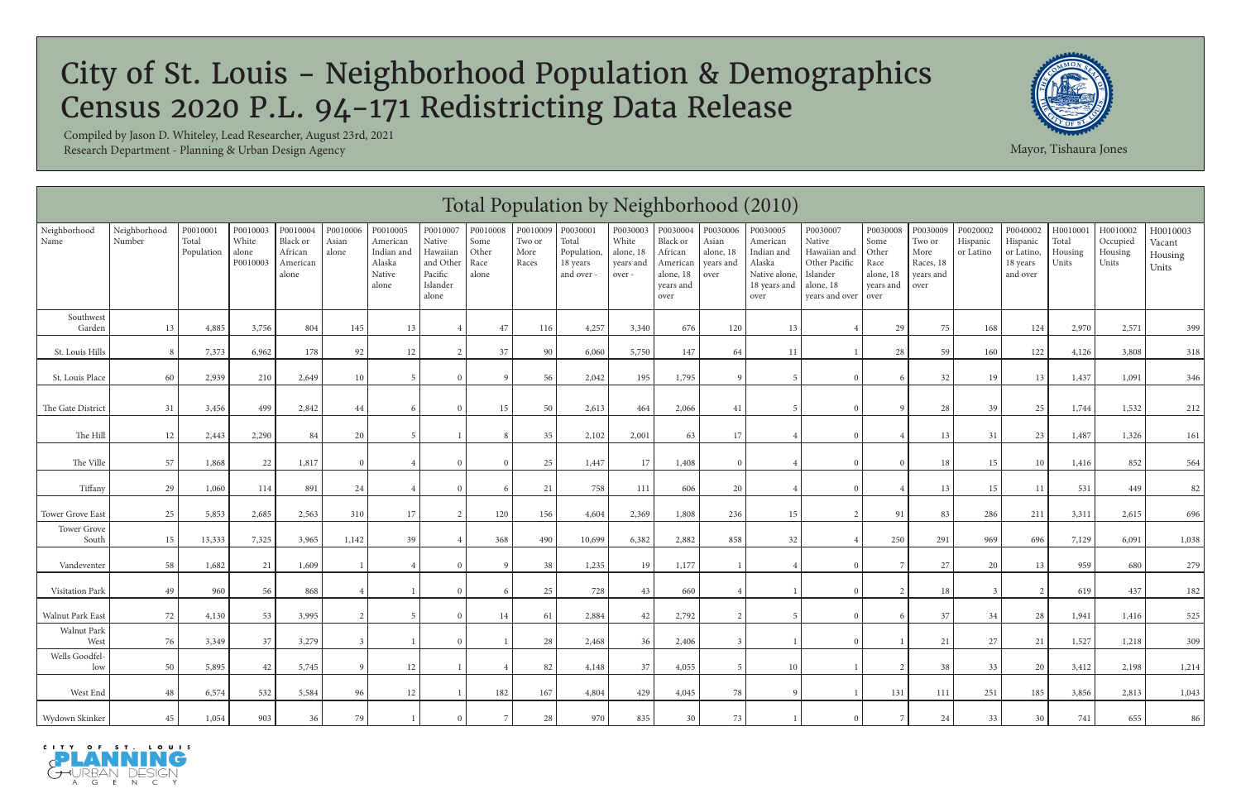|                             | Total Population by Neighborhood (2010)<br>Neighborhood<br>P0010001<br>P0010003<br>P0010004<br>P0010006<br>P0010005<br>P0010007<br>P0010008<br>P0010009<br>P0030001<br>P0030003<br>P0030004<br>P0030006<br>P0030005<br>P0030008<br>P0030009<br>P0020002<br>P0040002<br>H001000<br>H0010002<br>P0030007<br>H0010003 |                     |                            |                                          |                |                                                     |                                                                 |                                |                         |                                                |                                          |                                                                   |                                         |                                                                           |                                                                                    |                                                         |                                                  |                       |                                                |                           |                              |                            |
|-----------------------------|--------------------------------------------------------------------------------------------------------------------------------------------------------------------------------------------------------------------------------------------------------------------------------------------------------------------|---------------------|----------------------------|------------------------------------------|----------------|-----------------------------------------------------|-----------------------------------------------------------------|--------------------------------|-------------------------|------------------------------------------------|------------------------------------------|-------------------------------------------------------------------|-----------------------------------------|---------------------------------------------------------------------------|------------------------------------------------------------------------------------|---------------------------------------------------------|--------------------------------------------------|-----------------------|------------------------------------------------|---------------------------|------------------------------|----------------------------|
| Neighborhood<br>Name        | Number                                                                                                                                                                                                                                                                                                             | Total<br>Population | White<br>alone<br>P0010003 | Black or<br>African<br>American<br>alone | Asian<br>alone | American<br>Indian and<br>Alaska<br>Native<br>alone | Native<br>Hawaiian<br>and Other<br>Pacific<br>Islander<br>alone | Some<br>Other<br>Race<br>alone | Two or<br>More<br>Races | Total<br>Population,<br>18 years<br>and over - | White<br>alone, 18<br>years and<br>over- | Black or<br>African<br>American<br>alone, 18<br>years and<br>over | Asian<br>alone, 18<br>years and<br>over | American<br>Indian and<br>Alaska<br>Native alone,<br>18 years and<br>over | Native<br>Hawaiian and<br>Other Pacific<br>Islander<br>alone, 18<br>years and over | Some<br>Other<br>Race<br>alone, 18<br>years and<br>over | Two or<br>More<br>Races, 18<br>years and<br>over | Hispanic<br>or Latino | Hispanic<br>or Latino,<br>18 years<br>and over | Total<br>Housing<br>Units | Occupied<br>Housing<br>Units | Vacant<br>Housing<br>Units |
| Southwest<br>Garden         | 13                                                                                                                                                                                                                                                                                                                 | 4,885               | 3,756                      | 804                                      | 145            | 13                                                  |                                                                 | 47                             | 116                     | 4,257                                          | 3,340                                    | 676                                                               | 120                                     | 13                                                                        |                                                                                    | 29                                                      | 75                                               | 168                   | 124                                            | 2,970                     | 2,571                        | 399                        |
| St. Louis Hills             |                                                                                                                                                                                                                                                                                                                    | 7,373               | 6,962                      | 178                                      | 92             | 12                                                  | $\mathcal{L}$                                                   | 37                             | 90                      | 6,060                                          | 5,750                                    | 147                                                               | 64                                      | 11                                                                        |                                                                                    | 28                                                      | 59                                               | 160                   | 122                                            | 4,126                     | 3,808                        | 318                        |
| St. Louis Place             | 60                                                                                                                                                                                                                                                                                                                 | 2,939               | 210                        | 2,649                                    | 10             |                                                     | $\Omega$                                                        |                                | 56                      | 2,042                                          | 195                                      | 1,795                                                             |                                         | -5                                                                        | $\Omega$                                                                           |                                                         | 32                                               | 19                    | 13                                             | 1,437                     | 1,091                        | 346                        |
| The Gate District           | 31                                                                                                                                                                                                                                                                                                                 | 3,456               | 499                        | 2,842                                    | 44             |                                                     | $\Omega$                                                        | 15                             | 50                      | 2,613                                          | 464                                      | 2,066                                                             | 41                                      |                                                                           | $\Omega$                                                                           |                                                         | 28                                               | 39                    | 25                                             | 1,744                     | 1,532                        | 212                        |
| The Hill                    | 12                                                                                                                                                                                                                                                                                                                 | 2,443               | 2,290                      | 84                                       | 20             |                                                     |                                                                 |                                | 35                      | 2,102                                          | 2,001                                    | 63                                                                | 17                                      |                                                                           | $\Omega$                                                                           |                                                         | 13                                               | 31                    | 23                                             | 1,487                     | 1,326                        | 161                        |
| The Ville                   | 57                                                                                                                                                                                                                                                                                                                 | 1,868               | 22                         | 1,817                                    |                |                                                     | $\Omega$                                                        |                                | 25                      | 1,447                                          | 17                                       | 1,408                                                             | $\Omega$                                |                                                                           | $\Omega$                                                                           |                                                         | 18                                               | 15                    | 10                                             | 1,416                     | 852                          | 564                        |
| Tiffany                     | 29                                                                                                                                                                                                                                                                                                                 | 1,060               | 114                        | 891                                      | 24             |                                                     | $\Omega$                                                        |                                | 21                      | 758                                            | 111                                      | 606                                                               | 20                                      |                                                                           |                                                                                    |                                                         | 13                                               | 15                    | 11                                             | 531                       | 449                          | 82                         |
| Tower Grove East            | 25                                                                                                                                                                                                                                                                                                                 | 5,853               | 2,685                      | 2,563                                    | 310            | 17                                                  | 2                                                               | 120                            | 156                     | 4,604                                          | 2,369                                    | 1,808                                                             | 236                                     | 15                                                                        | $\mathfrak{D}$                                                                     | 91                                                      | 83                                               | 286                   | 211                                            | 3,311                     | 2,615                        | 696                        |
| <b>Tower Grove</b><br>South | 15                                                                                                                                                                                                                                                                                                                 | 13,333              | 7,325                      | 3,965                                    | 1,142          | 39                                                  |                                                                 | 368                            | 490                     | 10,699                                         | 6,382                                    | 2,882                                                             | 858                                     | 32                                                                        |                                                                                    | 250                                                     | 291                                              | 969                   | 696                                            | 7,129                     | 6,091                        | 1,038                      |
| Vandeventer                 | 58                                                                                                                                                                                                                                                                                                                 | 1,682               | 21                         | 1,609                                    |                |                                                     | $\Omega$                                                        |                                | 38                      | 1,235                                          | 19                                       | 1,177                                                             |                                         |                                                                           | $\Omega$                                                                           |                                                         | 27                                               | 20                    | 13                                             | 959                       | 680                          | 279                        |
| <b>Visitation Park</b>      | 49                                                                                                                                                                                                                                                                                                                 | 960                 | 56                         | 868                                      |                |                                                     | $\Omega$                                                        |                                | 25                      | 728                                            | 43                                       | 660                                                               |                                         |                                                                           | $\Omega$                                                                           |                                                         | 18                                               |                       |                                                | 619                       | 437                          | 182                        |
| Walnut Park East            | 72                                                                                                                                                                                                                                                                                                                 | 4,130               | 53                         | 3,995                                    |                |                                                     |                                                                 | 14                             | 61                      | 2,884                                          | 42                                       | 2,792                                                             |                                         |                                                                           |                                                                                    |                                                         | 37                                               | 34                    | 28                                             | 1,941                     | 1,416                        | 525                        |
| Walnut Park<br>West         | 76                                                                                                                                                                                                                                                                                                                 | 3,349               | 37                         | 3,279                                    |                |                                                     |                                                                 |                                | 28                      | 2,468                                          | 36                                       | 2,406                                                             |                                         |                                                                           |                                                                                    |                                                         | 21                                               | 27                    | 21                                             | 1,527                     | 1,218                        | 309                        |
| Wells Goodfel-<br>low       | 50                                                                                                                                                                                                                                                                                                                 | 5,895               | 42                         | 5,745                                    |                | 12                                                  |                                                                 |                                | 82                      | 4,148                                          | 37                                       | 4,055                                                             |                                         | 10                                                                        |                                                                                    |                                                         | 38                                               | 33                    | 20                                             | 3,412                     | 2,198                        | 1,214                      |
| West End                    | 48                                                                                                                                                                                                                                                                                                                 | 6,574               | 532                        | 5,584                                    | 96             | 12                                                  |                                                                 | 182                            | 167                     | 4,804                                          | 429                                      | 4,045                                                             | 78                                      | $\mathbf{Q}$                                                              |                                                                                    | 131                                                     | 111                                              | 251                   | 185                                            | 3,856                     | 2,813                        | 1,043                      |
| Wydown Skinker              | $45\,$                                                                                                                                                                                                                                                                                                             | 1,054               | 903                        | 36                                       | 79             |                                                     |                                                                 |                                | 28                      | 970                                            | 835                                      | 30                                                                | 73                                      |                                                                           |                                                                                    |                                                         | 24                                               | 33                    | 30                                             | 741                       | 655                          | 86                         |